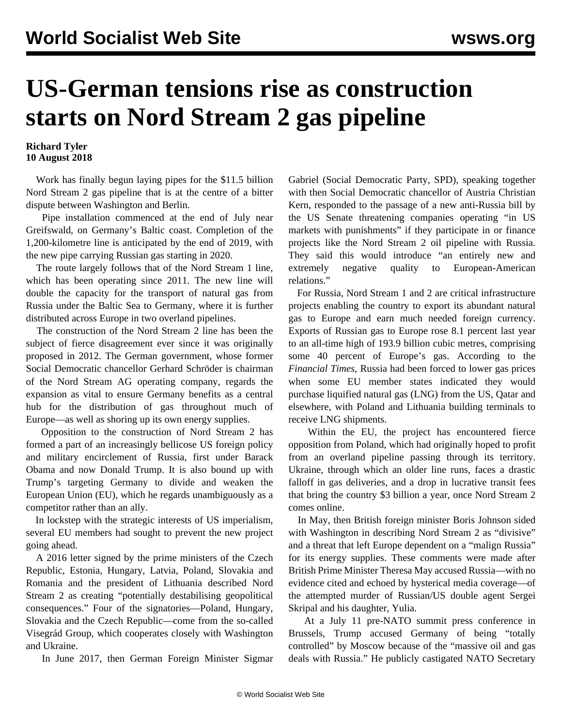## **US-German tensions rise as construction starts on Nord Stream 2 gas pipeline**

## **Richard Tyler 10 August 2018**

 Work has finally begun laying pipes for the \$11.5 billion Nord Stream 2 gas pipeline that is at the centre of a bitter dispute between Washington and Berlin.

 Pipe installation commenced at the end of July near Greifswald, on Germany's Baltic coast. Completion of the 1,200-kilometre line is anticipated by the end of 2019, with the new pipe carrying Russian gas starting in 2020.

 The route largely follows that of the Nord Stream 1 line, which has been operating since 2011. The new line will double the capacity for the transport of natural gas from Russia under the Baltic Sea to Germany, where it is further distributed across Europe in two overland pipelines.

 The construction of the Nord Stream 2 line has been the subject of fierce disagreement ever since it was originally proposed in 2012. The German government, whose former Social Democratic chancellor Gerhard Schröder is chairman of the Nord Stream AG operating company, regards the expansion as vital to ensure Germany benefits as a central hub for the distribution of gas throughout much of Europe—as well as shoring up its own energy supplies.

 Opposition to the construction of Nord Stream 2 has formed a part of an increasingly bellicose US foreign policy and military encirclement of Russia, first under Barack Obama and now Donald Trump. It is also bound up with Trump's targeting Germany to divide and weaken the European Union (EU), which he regards unambiguously as a competitor rather than an ally.

 In lockstep with the strategic interests of US imperialism, several EU members had sought to prevent the new project going ahead.

 A 2016 letter signed by the prime ministers of the Czech Republic, Estonia, Hungary, Latvia, Poland, Slovakia and Romania and the president of Lithuania described Nord Stream 2 as creating "potentially destabilising geopolitical consequences." Four of the signatories—Poland, Hungary, Slovakia and the Czech Republic—come from the so-called Visegrád Group, which cooperates closely with Washington and Ukraine.

In June 2017, then German Foreign Minister Sigmar

Gabriel (Social Democratic Party, SPD), speaking together with then Social Democratic chancellor of Austria Christian Kern, responded to the passage of a new anti-Russia bill by the US Senate threatening companies operating "in US markets with punishments" if they participate in or finance projects like the Nord Stream 2 oil pipeline with Russia. They said this would introduce "an entirely new and extremely negative quality to European-American relations."

 For Russia, Nord Stream 1 and 2 are critical infrastructure projects enabling the country to export its abundant natural gas to Europe and earn much needed foreign currency. Exports of Russian gas to Europe rose 8.1 percent last year to an all-time high of 193.9 billion cubic metres, comprising some 40 percent of Europe's gas. According to the *Financial Times*, Russia had been forced to lower gas prices when some EU member states indicated they would purchase liquified natural gas (LNG) from the US, Qatar and elsewhere, with Poland and Lithuania building terminals to receive LNG shipments.

 Within the EU, the project has encountered fierce opposition from Poland, which had originally hoped to profit from an overland pipeline passing through its territory. Ukraine, through which an older line runs, faces a drastic falloff in gas deliveries, and a drop in lucrative transit fees that bring the country \$3 billion a year, once Nord Stream 2 comes online.

 In May, then British foreign minister Boris Johnson sided with Washington in describing Nord Stream 2 as "divisive" and a threat that left Europe dependent on a "malign Russia" for its energy supplies. These comments were made after British Prime Minister Theresa May accused Russia—with no evidence cited and echoed by hysterical media coverage—of the attempted murder of Russian/US double agent Sergei Skripal and his daughter, Yulia.

 At a July 11 pre-NATO summit press conference in Brussels, Trump accused Germany of being "totally controlled" by Moscow because of the "massive oil and gas deals with Russia." He publicly castigated NATO Secretary